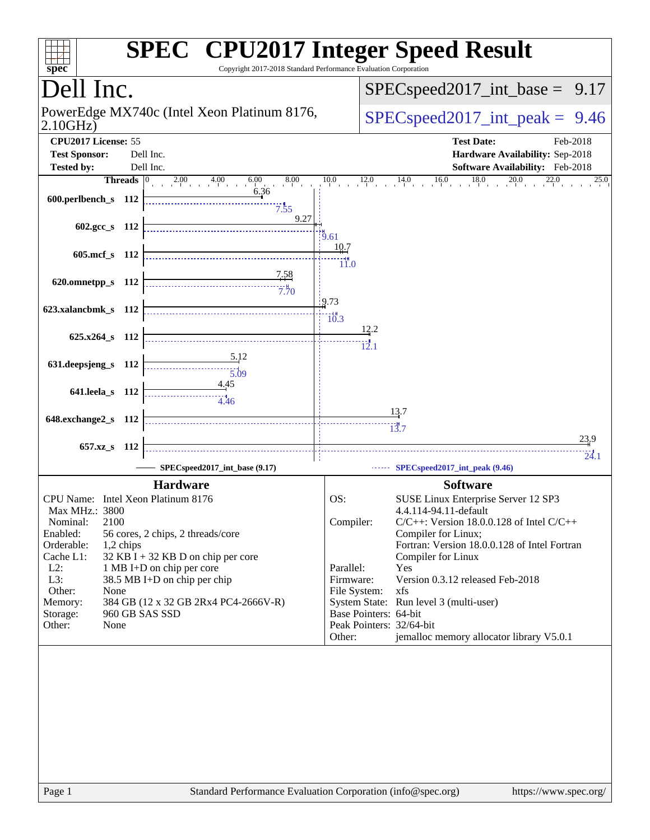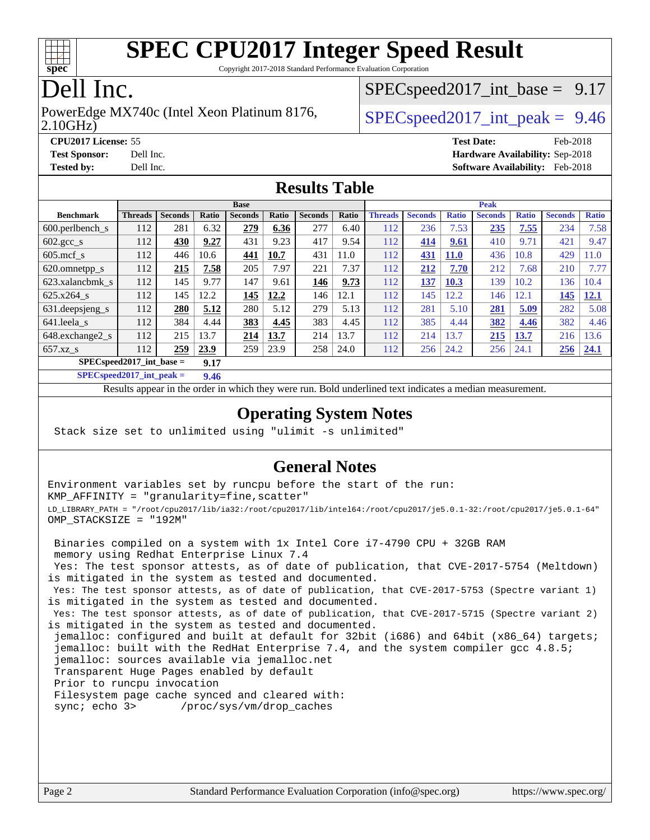

Copyright 2017-2018 Standard Performance Evaluation Corporation

### Dell Inc.

#### 2.10GHz) PowerEdge MX740c (Intel Xeon Platinum 8176,  $\vert$  [SPECspeed2017\\_int\\_peak =](http://www.spec.org/auto/cpu2017/Docs/result-fields.html#SPECspeed2017intpeak) 9.46

 $SPECspeed2017\_int\_base = 9.17$ 

**[CPU2017 License:](http://www.spec.org/auto/cpu2017/Docs/result-fields.html#CPU2017License)** 55 **[Test Date:](http://www.spec.org/auto/cpu2017/Docs/result-fields.html#TestDate)** Feb-2018 **[Test Sponsor:](http://www.spec.org/auto/cpu2017/Docs/result-fields.html#TestSponsor)** Dell Inc. **[Hardware Availability:](http://www.spec.org/auto/cpu2017/Docs/result-fields.html#HardwareAvailability)** Sep-2018 **[Tested by:](http://www.spec.org/auto/cpu2017/Docs/result-fields.html#Testedby)** Dell Inc. **[Software Availability:](http://www.spec.org/auto/cpu2017/Docs/result-fields.html#SoftwareAvailability)** Feb-2018

#### **[Results Table](http://www.spec.org/auto/cpu2017/Docs/result-fields.html#ResultsTable)**

|                                     | <b>Base</b>    |                |       |                |       | <b>Peak</b>    |       |                |                |              |                |              |                |              |
|-------------------------------------|----------------|----------------|-------|----------------|-------|----------------|-------|----------------|----------------|--------------|----------------|--------------|----------------|--------------|
| <b>Benchmark</b>                    | <b>Threads</b> | <b>Seconds</b> | Ratio | <b>Seconds</b> | Ratio | <b>Seconds</b> | Ratio | <b>Threads</b> | <b>Seconds</b> | <b>Ratio</b> | <b>Seconds</b> | <b>Ratio</b> | <b>Seconds</b> | <b>Ratio</b> |
| $600.$ perlbench $\mathsf{S}$       | 112            | 281            | 6.32  | 279            | 6.36  | 277            | 6.40  | 112            | 236            | 7.53         | 235            | 7.55         | 234            | 7.58         |
| 602.gcc_s                           | 112            | 430            | 9.27  | 431            | 9.23  | 417            | 9.54  | 112            | 414            | 9.61         | 410            | 9.71         | 421            | 9.47         |
| $605$ .mcf s                        | 112            | 446            | 10.6  | 441            | 10.7  | 431            | 11.0  | 112            | 431            | <b>11.0</b>  | 436            | 10.8         | 429            | 1.0          |
| 620.omnetpp_s                       | 112            | 215            | 7.58  | 205            | 7.97  | 221            | 7.37  | 112            | 212            | 7.70         | 212            | 7.68         | 210            | 7.77         |
| 623.xalancbmk s                     | 112            | 145            | 9.77  | 147            | 9.61  | 146            | 9.73  | 112            | 137            | 10.3         | 139            | 10.2         | 136            | 10.4         |
| 625.x264 s                          | 112            | 145            | 12.2  | 145            | 12.2  | 146            | 12.1  | 112            | 145            | 12.2         | 146            | 12.1         | 145            | 12.1         |
| 631.deepsjeng_s                     | 112            | 280            | 5.12  | 280            | 5.12  | 279            | 5.13  | 112            | 281            | 5.10         | 281            | 5.09         | 282            | 5.08         |
| 641.leela s                         | 112            | 384            | 4.44  | 383            | 4.45  | 383            | 4.45  | 112            | 385            | 4.44         | 382            | 4.46         | 382            | 4.46         |
| 648.exchange2_s                     | 112            | 215            | 13.7  | 214            | 13.7  | 214            | 13.7  | 112            | 214            | 13.7         | 215            | 13.7         | 216            | 13.6         |
| $657.xz$ s                          | 112            | 259            | 23.9  | 259            | 23.9  | 258            | 24.0  | 112            | 256            | 24.2         | 256            | 24.1         | 256            | 24.1         |
| $SPEC speed2017$ int base =<br>9.17 |                |                |       |                |       |                |       |                |                |              |                |              |                |              |

**[SPECspeed2017\\_int\\_peak =](http://www.spec.org/auto/cpu2017/Docs/result-fields.html#SPECspeed2017intpeak) 9.46**

Results appear in the [order in which they were run.](http://www.spec.org/auto/cpu2017/Docs/result-fields.html#RunOrder) Bold underlined text [indicates a median measurement](http://www.spec.org/auto/cpu2017/Docs/result-fields.html#Median).

#### **[Operating System Notes](http://www.spec.org/auto/cpu2017/Docs/result-fields.html#OperatingSystemNotes)**

Stack size set to unlimited using "ulimit -s unlimited"

#### **[General Notes](http://www.spec.org/auto/cpu2017/Docs/result-fields.html#GeneralNotes)**

Environment variables set by runcpu before the start of the run: KMP\_AFFINITY = "granularity=fine,scatter" LD\_LIBRARY\_PATH = "/root/cpu2017/lib/ia32:/root/cpu2017/lib/intel64:/root/cpu2017/je5.0.1-32:/root/cpu2017/je5.0.1-64" OMP\_STACKSIZE = "192M"

 Binaries compiled on a system with 1x Intel Core i7-4790 CPU + 32GB RAM memory using Redhat Enterprise Linux 7.4 Yes: The test sponsor attests, as of date of publication, that CVE-2017-5754 (Meltdown) is mitigated in the system as tested and documented. Yes: The test sponsor attests, as of date of publication, that CVE-2017-5753 (Spectre variant 1) is mitigated in the system as tested and documented. Yes: The test sponsor attests, as of date of publication, that CVE-2017-5715 (Spectre variant 2) is mitigated in the system as tested and documented. jemalloc: configured and built at default for 32bit (i686) and 64bit (x86\_64) targets; jemalloc: built with the RedHat Enterprise 7.4, and the system compiler gcc 4.8.5; jemalloc: sources available via jemalloc.net Transparent Huge Pages enabled by default Prior to runcpu invocation Filesystem page cache synced and cleared with: sync; echo 3> /proc/sys/vm/drop\_caches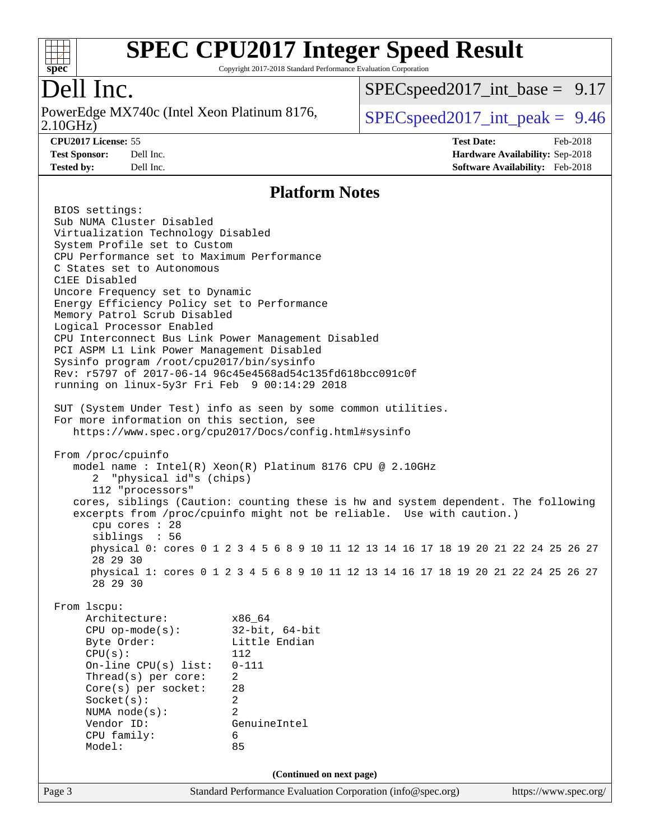

Copyright 2017-2018 Standard Performance Evaluation Corporation

### Dell Inc.

2.10GHz) PowerEdge MX740c (Intel Xeon Platinum 8176,  $\vert$  [SPECspeed2017\\_int\\_peak =](http://www.spec.org/auto/cpu2017/Docs/result-fields.html#SPECspeed2017intpeak) 9.46

 $SPECspeed2017\_int\_base = 9.17$ 

**[Tested by:](http://www.spec.org/auto/cpu2017/Docs/result-fields.html#Testedby)** Dell Inc. **[Software Availability:](http://www.spec.org/auto/cpu2017/Docs/result-fields.html#SoftwareAvailability)** Feb-2018

**[CPU2017 License:](http://www.spec.org/auto/cpu2017/Docs/result-fields.html#CPU2017License)** 55 **[Test Date:](http://www.spec.org/auto/cpu2017/Docs/result-fields.html#TestDate)** Feb-2018 **[Test Sponsor:](http://www.spec.org/auto/cpu2017/Docs/result-fields.html#TestSponsor)** Dell Inc. **[Hardware Availability:](http://www.spec.org/auto/cpu2017/Docs/result-fields.html#HardwareAvailability)** Sep-2018

#### **[Platform Notes](http://www.spec.org/auto/cpu2017/Docs/result-fields.html#PlatformNotes)**

Page 3 Standard Performance Evaluation Corporation [\(info@spec.org\)](mailto:info@spec.org) <https://www.spec.org/> BIOS settings: Sub NUMA Cluster Disabled Virtualization Technology Disabled System Profile set to Custom CPU Performance set to Maximum Performance C States set to Autonomous C1EE Disabled Uncore Frequency set to Dynamic Energy Efficiency Policy set to Performance Memory Patrol Scrub Disabled Logical Processor Enabled CPU Interconnect Bus Link Power Management Disabled PCI ASPM L1 Link Power Management Disabled Sysinfo program /root/cpu2017/bin/sysinfo Rev: r5797 of 2017-06-14 96c45e4568ad54c135fd618bcc091c0f running on linux-5y3r Fri Feb 9 00:14:29 2018 SUT (System Under Test) info as seen by some common utilities. For more information on this section, see <https://www.spec.org/cpu2017/Docs/config.html#sysinfo> From /proc/cpuinfo model name : Intel(R) Xeon(R) Platinum 8176 CPU @ 2.10GHz 2 "physical id"s (chips) 112 "processors" cores, siblings (Caution: counting these is hw and system dependent. The following excerpts from /proc/cpuinfo might not be reliable. Use with caution.) cpu cores : 28 siblings : 56 physical 0: cores 0 1 2 3 4 5 6 8 9 10 11 12 13 14 16 17 18 19 20 21 22 24 25 26 27 28 29 30 physical 1: cores 0 1 2 3 4 5 6 8 9 10 11 12 13 14 16 17 18 19 20 21 22 24 25 26 27 28 29 30 From lscpu: Architecture: x86\_64 CPU op-mode(s): 32-bit, 64-bit Byte Order: Little Endian CPU(s): 112 On-line CPU(s) list: 0-111 Thread(s) per core: 2 Core(s) per socket: 28 Socket(s): 2 NUMA node(s): 2 Vendor ID: GenuineIntel CPU family: 6 Model: 85 **(Continued on next page)**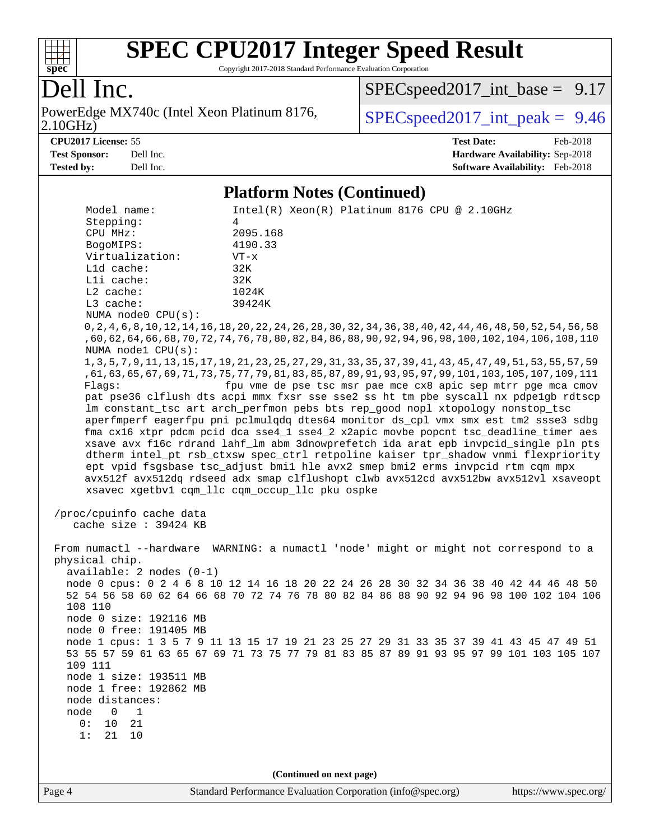

Copyright 2017-2018 Standard Performance Evaluation Corporation

### Dell Inc.

2.10GHz) PowerEdge MX740c (Intel Xeon Platinum 8176,  $\vert$  [SPECspeed2017\\_int\\_peak =](http://www.spec.org/auto/cpu2017/Docs/result-fields.html#SPECspeed2017intpeak) 9.46

 $SPECspeed2017\_int\_base = 9.17$ 

**[CPU2017 License:](http://www.spec.org/auto/cpu2017/Docs/result-fields.html#CPU2017License)** 55 **[Test Date:](http://www.spec.org/auto/cpu2017/Docs/result-fields.html#TestDate)** Feb-2018 **[Test Sponsor:](http://www.spec.org/auto/cpu2017/Docs/result-fields.html#TestSponsor)** Dell Inc. **[Hardware Availability:](http://www.spec.org/auto/cpu2017/Docs/result-fields.html#HardwareAvailability)** Sep-2018 **[Tested by:](http://www.spec.org/auto/cpu2017/Docs/result-fields.html#Testedby)** Dell Inc. **[Software Availability:](http://www.spec.org/auto/cpu2017/Docs/result-fields.html#SoftwareAvailability)** Feb-2018

#### **[Platform Notes \(Continued\)](http://www.spec.org/auto/cpu2017/Docs/result-fields.html#PlatformNotes)**

Model name: Intel(R) Xeon(R) Platinum 8176 CPU @ 2.10GHz Stepping: 4 CPU MHz: 2095.168 BogoMIPS: 4190.33 Virtualization: VT-x L1d cache: 32K L1i cache: 32K L2 cache: 1024K L3 cache: 39424K NUMA node0 CPU(s): 0,2,4,6,8,10,12,14,16,18,20,22,24,26,28,30,32,34,36,38,40,42,44,46,48,50,52,54,56,58 ,60,62,64,66,68,70,72,74,76,78,80,82,84,86,88,90,92,94,96,98,100,102,104,106,108,110 NUMA node1 CPU(s): 1,3,5,7,9,11,13,15,17,19,21,23,25,27,29,31,33,35,37,39,41,43,45,47,49,51,53,55,57,59 ,61,63,65,67,69,71,73,75,77,79,81,83,85,87,89,91,93,95,97,99,101,103,105,107,109,111 Flags: fpu vme de pse tsc msr pae mce cx8 apic sep mtrr pge mca cmov pat pse36 clflush dts acpi mmx fxsr sse sse2 ss ht tm pbe syscall nx pdpe1gb rdtscp lm constant\_tsc art arch\_perfmon pebs bts rep\_good nopl xtopology nonstop\_tsc aperfmperf eagerfpu pni pclmulqdq dtes64 monitor ds\_cpl vmx smx est tm2 ssse3 sdbg fma cx16 xtpr pdcm pcid dca sse4\_1 sse4\_2 x2apic movbe popcnt tsc\_deadline\_timer aes xsave avx f16c rdrand lahf\_lm abm 3dnowprefetch ida arat epb invpcid\_single pln pts dtherm intel\_pt rsb\_ctxsw spec\_ctrl retpoline kaiser tpr\_shadow vnmi flexpriority ept vpid fsgsbase tsc\_adjust bmi1 hle avx2 smep bmi2 erms invpcid rtm cqm mpx avx512f avx512dq rdseed adx smap clflushopt clwb avx512cd avx512bw avx512vl xsaveopt xsavec xgetbv1 cqm\_llc cqm\_occup\_llc pku ospke /proc/cpuinfo cache data cache size : 39424 KB From numactl --hardware WARNING: a numactl 'node' might or might not correspond to a physical chip. available: 2 nodes (0-1) node 0 cpus: 0 2 4 6 8 10 12 14 16 18 20 22 24 26 28 30 32 34 36 38 40 42 44 46 48 50 52 54 56 58 60 62 64 66 68 70 72 74 76 78 80 82 84 86 88 90 92 94 96 98 100 102 104 106 108 110 node 0 size: 192116 MB node 0 free: 191405 MB node 1 cpus: 1 3 5 7 9 11 13 15 17 19 21 23 25 27 29 31 33 35 37 39 41 43 45 47 49 51 53 55 57 59 61 63 65 67 69 71 73 75 77 79 81 83 85 87 89 91 93 95 97 99 101 103 105 107 109 111 node 1 size: 193511 MB node 1 free: 192862 MB node distances: node 0 1 0: 10 21 1: 21 10 **(Continued on next page)**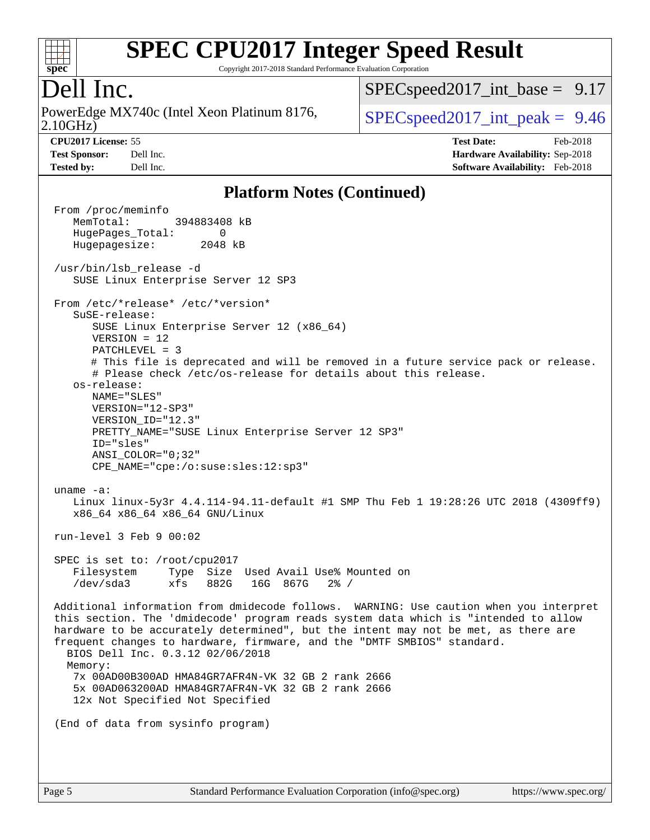

Copyright 2017-2018 Standard Performance Evaluation Corporation

#### Dell Inc.

2.10GHz) PowerEdge MX740c (Intel Xeon Platinum 8176,  $\vert$  [SPECspeed2017\\_int\\_peak =](http://www.spec.org/auto/cpu2017/Docs/result-fields.html#SPECspeed2017intpeak) 9.46

 $SPECspeed2017\_int\_base = 9.17$ 

**[CPU2017 License:](http://www.spec.org/auto/cpu2017/Docs/result-fields.html#CPU2017License)** 55 **[Test Date:](http://www.spec.org/auto/cpu2017/Docs/result-fields.html#TestDate)** Feb-2018 **[Test Sponsor:](http://www.spec.org/auto/cpu2017/Docs/result-fields.html#TestSponsor)** Dell Inc. **[Hardware Availability:](http://www.spec.org/auto/cpu2017/Docs/result-fields.html#HardwareAvailability)** Sep-2018 **[Tested by:](http://www.spec.org/auto/cpu2017/Docs/result-fields.html#Testedby)** Dell Inc. **[Software Availability:](http://www.spec.org/auto/cpu2017/Docs/result-fields.html#SoftwareAvailability)** Feb-2018

#### **[Platform Notes \(Continued\)](http://www.spec.org/auto/cpu2017/Docs/result-fields.html#PlatformNotes)**

 From /proc/meminfo MemTotal: 394883408 kB HugePages\_Total: 0 Hugepagesize: 2048 kB /usr/bin/lsb\_release -d SUSE Linux Enterprise Server 12 SP3 From /etc/\*release\* /etc/\*version\* SuSE-release: SUSE Linux Enterprise Server 12 (x86\_64) VERSION = 12 PATCHLEVEL = 3 # This file is deprecated and will be removed in a future service pack or release. # Please check /etc/os-release for details about this release. os-release: NAME="SLES" VERSION="12-SP3" VERSION\_ID="12.3" PRETTY\_NAME="SUSE Linux Enterprise Server 12 SP3" ID="sles" ANSI\_COLOR="0;32" CPE\_NAME="cpe:/o:suse:sles:12:sp3" uname -a: Linux linux-5y3r 4.4.114-94.11-default #1 SMP Thu Feb 1 19:28:26 UTC 2018 (4309ff9) x86\_64 x86\_64 x86\_64 GNU/Linux run-level 3 Feb 9 00:02 SPEC is set to: /root/cpu2017 Filesystem Type Size Used Avail Use% Mounted on /dev/sda3 xfs 882G 16G 867G 2% / Additional information from dmidecode follows. WARNING: Use caution when you interpret this section. The 'dmidecode' program reads system data which is "intended to allow hardware to be accurately determined", but the intent may not be met, as there are frequent changes to hardware, firmware, and the "DMTF SMBIOS" standard. BIOS Dell Inc. 0.3.12 02/06/2018 Memory: 7x 00AD00B300AD HMA84GR7AFR4N-VK 32 GB 2 rank 2666 5x 00AD063200AD HMA84GR7AFR4N-VK 32 GB 2 rank 2666 12x Not Specified Not Specified (End of data from sysinfo program)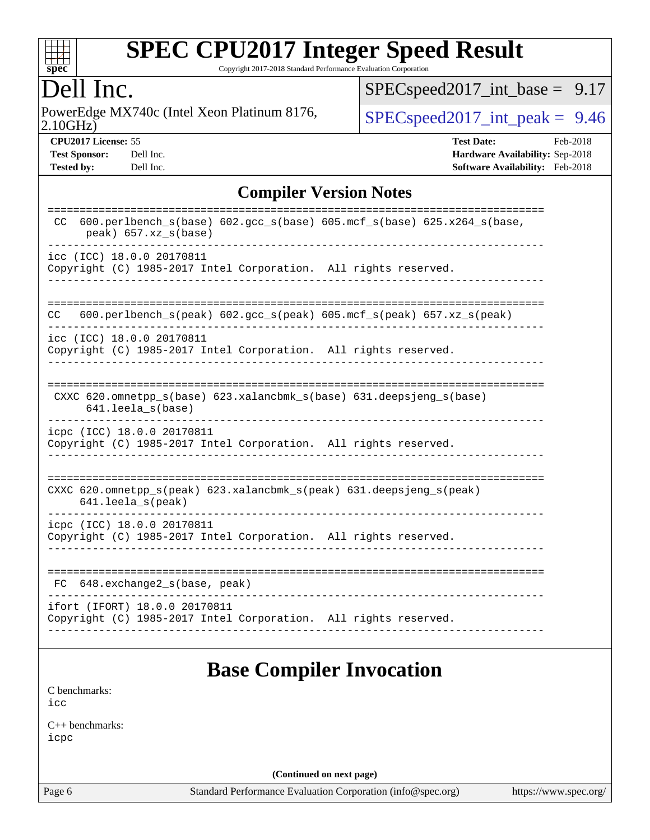

Copyright 2017-2018 Standard Performance Evaluation Corporation

### Dell Inc.

2.10GHz) PowerEdge MX740c (Intel Xeon Platinum 8176,  $\boxed{\text{SPEC speed2017\_int\_peak = 9.46}}$ 

[SPECspeed2017\\_int\\_base =](http://www.spec.org/auto/cpu2017/Docs/result-fields.html#SPECspeed2017intbase) 9.17

**[Tested by:](http://www.spec.org/auto/cpu2017/Docs/result-fields.html#Testedby)** Dell Inc. **[Software Availability:](http://www.spec.org/auto/cpu2017/Docs/result-fields.html#SoftwareAvailability)** Feb-2018

**[CPU2017 License:](http://www.spec.org/auto/cpu2017/Docs/result-fields.html#CPU2017License)** 55 **[Test Date:](http://www.spec.org/auto/cpu2017/Docs/result-fields.html#TestDate)** Feb-2018 **[Test Sponsor:](http://www.spec.org/auto/cpu2017/Docs/result-fields.html#TestSponsor)** Dell Inc. **[Hardware Availability:](http://www.spec.org/auto/cpu2017/Docs/result-fields.html#HardwareAvailability)** Sep-2018

#### **[Compiler Version Notes](http://www.spec.org/auto/cpu2017/Docs/result-fields.html#CompilerVersionNotes)**

| $600. perlbench_s(base) 602. gcc_s(base) 605. mcf_s(base) 625.x264_s(base,$<br><sub>CC</sub><br>peak) 657.xz_s(base)       |
|----------------------------------------------------------------------------------------------------------------------------|
| icc (ICC) 18.0.0 20170811<br>Copyright (C) 1985-2017 Intel Corporation. All rights reserved.                               |
| $600. perlbench_s (peak) 602. gcc_s (peak) 605. mcf_s (peak) 657. xz_s (peak)$<br>CC                                       |
| icc (ICC) 18.0.0 20170811<br>Copyright (C) 1985-2017 Intel Corporation. All rights reserved.                               |
| CXXC 620.omnetpp_s(base) 623.xalancbmk_s(base) 631.deepsjeng_s(base)<br>641.leela s(base)                                  |
| icpc (ICC) 18.0.0 20170811<br>Copyright (C) 1985-2017 Intel Corporation. All rights reserved.                              |
| CXXC $620.\text{omnetpp_s}$ (peak) $623.\text{xalancbmk_s}$ (peak) $631.\text{deepsjeng_s}$ (peak)<br>$641.$ leela_s(peak) |
| icpc (ICC) 18.0.0 20170811<br>Copyright (C) 1985-2017 Intel Corporation. All rights reserved.                              |
| 648.exchange2_s(base, peak)<br>FC                                                                                          |
| ifort (IFORT) 18.0.0 20170811<br>Copyright (C) 1985-2017 Intel Corporation. All rights reserved.                           |

### **[Base Compiler Invocation](http://www.spec.org/auto/cpu2017/Docs/result-fields.html#BaseCompilerInvocation)**

[C benchmarks](http://www.spec.org/auto/cpu2017/Docs/result-fields.html#Cbenchmarks): [icc](http://www.spec.org/cpu2017/results/res2018q4/cpu2017-20181001-09011.flags.html#user_CCbase_intel_icc_18.0_66fc1ee009f7361af1fbd72ca7dcefbb700085f36577c54f309893dd4ec40d12360134090235512931783d35fd58c0460139e722d5067c5574d8eaf2b3e37e92)

[C++ benchmarks:](http://www.spec.org/auto/cpu2017/Docs/result-fields.html#CXXbenchmarks) [icpc](http://www.spec.org/cpu2017/results/res2018q4/cpu2017-20181001-09011.flags.html#user_CXXbase_intel_icpc_18.0_c510b6838c7f56d33e37e94d029a35b4a7bccf4766a728ee175e80a419847e808290a9b78be685c44ab727ea267ec2f070ec5dc83b407c0218cded6866a35d07)

**(Continued on next page)**

Page 6 Standard Performance Evaluation Corporation [\(info@spec.org\)](mailto:info@spec.org) <https://www.spec.org/>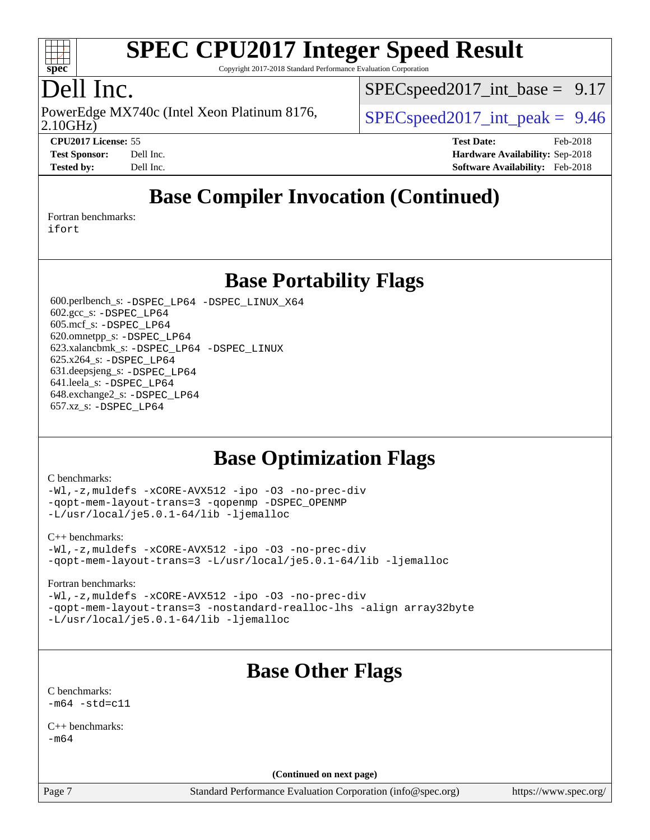

Copyright 2017-2018 Standard Performance Evaluation Corporation

### Dell Inc.

2.10GHz) PowerEdge MX740c (Intel Xeon Platinum 8176,  $\vert$  [SPECspeed2017\\_int\\_peak =](http://www.spec.org/auto/cpu2017/Docs/result-fields.html#SPECspeed2017intpeak) 9.46

 $SPECspeed2017\_int\_base = 9.17$ 

**[CPU2017 License:](http://www.spec.org/auto/cpu2017/Docs/result-fields.html#CPU2017License)** 55 **[Test Date:](http://www.spec.org/auto/cpu2017/Docs/result-fields.html#TestDate)** Feb-2018 **[Test Sponsor:](http://www.spec.org/auto/cpu2017/Docs/result-fields.html#TestSponsor)** Dell Inc. **[Hardware Availability:](http://www.spec.org/auto/cpu2017/Docs/result-fields.html#HardwareAvailability)** Sep-2018 **[Tested by:](http://www.spec.org/auto/cpu2017/Docs/result-fields.html#Testedby)** Dell Inc. **[Software Availability:](http://www.spec.org/auto/cpu2017/Docs/result-fields.html#SoftwareAvailability)** Feb-2018

### **[Base Compiler Invocation \(Continued\)](http://www.spec.org/auto/cpu2017/Docs/result-fields.html#BaseCompilerInvocation)**

[Fortran benchmarks](http://www.spec.org/auto/cpu2017/Docs/result-fields.html#Fortranbenchmarks):

[ifort](http://www.spec.org/cpu2017/results/res2018q4/cpu2017-20181001-09011.flags.html#user_FCbase_intel_ifort_18.0_8111460550e3ca792625aed983ce982f94888b8b503583aa7ba2b8303487b4d8a21a13e7191a45c5fd58ff318f48f9492884d4413fa793fd88dd292cad7027ca)

**[Base Portability Flags](http://www.spec.org/auto/cpu2017/Docs/result-fields.html#BasePortabilityFlags)**

 600.perlbench\_s: [-DSPEC\\_LP64](http://www.spec.org/cpu2017/results/res2018q4/cpu2017-20181001-09011.flags.html#b600.perlbench_s_basePORTABILITY_DSPEC_LP64) [-DSPEC\\_LINUX\\_X64](http://www.spec.org/cpu2017/results/res2018q4/cpu2017-20181001-09011.flags.html#b600.perlbench_s_baseCPORTABILITY_DSPEC_LINUX_X64) 602.gcc\_s: [-DSPEC\\_LP64](http://www.spec.org/cpu2017/results/res2018q4/cpu2017-20181001-09011.flags.html#suite_basePORTABILITY602_gcc_s_DSPEC_LP64) 605.mcf\_s: [-DSPEC\\_LP64](http://www.spec.org/cpu2017/results/res2018q4/cpu2017-20181001-09011.flags.html#suite_basePORTABILITY605_mcf_s_DSPEC_LP64) 620.omnetpp\_s: [-DSPEC\\_LP64](http://www.spec.org/cpu2017/results/res2018q4/cpu2017-20181001-09011.flags.html#suite_basePORTABILITY620_omnetpp_s_DSPEC_LP64) 623.xalancbmk\_s: [-DSPEC\\_LP64](http://www.spec.org/cpu2017/results/res2018q4/cpu2017-20181001-09011.flags.html#suite_basePORTABILITY623_xalancbmk_s_DSPEC_LP64) [-DSPEC\\_LINUX](http://www.spec.org/cpu2017/results/res2018q4/cpu2017-20181001-09011.flags.html#b623.xalancbmk_s_baseCXXPORTABILITY_DSPEC_LINUX) 625.x264\_s: [-DSPEC\\_LP64](http://www.spec.org/cpu2017/results/res2018q4/cpu2017-20181001-09011.flags.html#suite_basePORTABILITY625_x264_s_DSPEC_LP64) 631.deepsjeng\_s: [-DSPEC\\_LP64](http://www.spec.org/cpu2017/results/res2018q4/cpu2017-20181001-09011.flags.html#suite_basePORTABILITY631_deepsjeng_s_DSPEC_LP64) 641.leela\_s: [-DSPEC\\_LP64](http://www.spec.org/cpu2017/results/res2018q4/cpu2017-20181001-09011.flags.html#suite_basePORTABILITY641_leela_s_DSPEC_LP64) 648.exchange2\_s: [-DSPEC\\_LP64](http://www.spec.org/cpu2017/results/res2018q4/cpu2017-20181001-09011.flags.html#suite_basePORTABILITY648_exchange2_s_DSPEC_LP64) 657.xz\_s: [-DSPEC\\_LP64](http://www.spec.org/cpu2017/results/res2018q4/cpu2017-20181001-09011.flags.html#suite_basePORTABILITY657_xz_s_DSPEC_LP64)

### **[Base Optimization Flags](http://www.spec.org/auto/cpu2017/Docs/result-fields.html#BaseOptimizationFlags)**

#### [C benchmarks](http://www.spec.org/auto/cpu2017/Docs/result-fields.html#Cbenchmarks):

[-Wl,-z,muldefs](http://www.spec.org/cpu2017/results/res2018q4/cpu2017-20181001-09011.flags.html#user_CCbase_link_force_multiple1_b4cbdb97b34bdee9ceefcfe54f4c8ea74255f0b02a4b23e853cdb0e18eb4525ac79b5a88067c842dd0ee6996c24547a27a4b99331201badda8798ef8a743f577) [-xCORE-AVX512](http://www.spec.org/cpu2017/results/res2018q4/cpu2017-20181001-09011.flags.html#user_CCbase_f-xCORE-AVX512) [-ipo](http://www.spec.org/cpu2017/results/res2018q4/cpu2017-20181001-09011.flags.html#user_CCbase_f-ipo) [-O3](http://www.spec.org/cpu2017/results/res2018q4/cpu2017-20181001-09011.flags.html#user_CCbase_f-O3) [-no-prec-div](http://www.spec.org/cpu2017/results/res2018q4/cpu2017-20181001-09011.flags.html#user_CCbase_f-no-prec-div) [-qopt-mem-layout-trans=3](http://www.spec.org/cpu2017/results/res2018q4/cpu2017-20181001-09011.flags.html#user_CCbase_f-qopt-mem-layout-trans_de80db37974c74b1f0e20d883f0b675c88c3b01e9d123adea9b28688d64333345fb62bc4a798493513fdb68f60282f9a726aa07f478b2f7113531aecce732043) [-qopenmp](http://www.spec.org/cpu2017/results/res2018q4/cpu2017-20181001-09011.flags.html#user_CCbase_qopenmp_16be0c44f24f464004c6784a7acb94aca937f053568ce72f94b139a11c7c168634a55f6653758ddd83bcf7b8463e8028bb0b48b77bcddc6b78d5d95bb1df2967) [-DSPEC\\_OPENMP](http://www.spec.org/cpu2017/results/res2018q4/cpu2017-20181001-09011.flags.html#suite_CCbase_DSPEC_OPENMP) [-L/usr/local/je5.0.1-64/lib](http://www.spec.org/cpu2017/results/res2018q4/cpu2017-20181001-09011.flags.html#user_CCbase_jemalloc_link_path64_4b10a636b7bce113509b17f3bd0d6226c5fb2346b9178c2d0232c14f04ab830f976640479e5c33dc2bcbbdad86ecfb6634cbbd4418746f06f368b512fced5394) [-ljemalloc](http://www.spec.org/cpu2017/results/res2018q4/cpu2017-20181001-09011.flags.html#user_CCbase_jemalloc_link_lib_d1249b907c500fa1c0672f44f562e3d0f79738ae9e3c4a9c376d49f265a04b9c99b167ecedbf6711b3085be911c67ff61f150a17b3472be731631ba4d0471706)

#### [C++ benchmarks:](http://www.spec.org/auto/cpu2017/Docs/result-fields.html#CXXbenchmarks)

[-Wl,-z,muldefs](http://www.spec.org/cpu2017/results/res2018q4/cpu2017-20181001-09011.flags.html#user_CXXbase_link_force_multiple1_b4cbdb97b34bdee9ceefcfe54f4c8ea74255f0b02a4b23e853cdb0e18eb4525ac79b5a88067c842dd0ee6996c24547a27a4b99331201badda8798ef8a743f577) [-xCORE-AVX512](http://www.spec.org/cpu2017/results/res2018q4/cpu2017-20181001-09011.flags.html#user_CXXbase_f-xCORE-AVX512) [-ipo](http://www.spec.org/cpu2017/results/res2018q4/cpu2017-20181001-09011.flags.html#user_CXXbase_f-ipo) [-O3](http://www.spec.org/cpu2017/results/res2018q4/cpu2017-20181001-09011.flags.html#user_CXXbase_f-O3) [-no-prec-div](http://www.spec.org/cpu2017/results/res2018q4/cpu2017-20181001-09011.flags.html#user_CXXbase_f-no-prec-div) [-qopt-mem-layout-trans=3](http://www.spec.org/cpu2017/results/res2018q4/cpu2017-20181001-09011.flags.html#user_CXXbase_f-qopt-mem-layout-trans_de80db37974c74b1f0e20d883f0b675c88c3b01e9d123adea9b28688d64333345fb62bc4a798493513fdb68f60282f9a726aa07f478b2f7113531aecce732043) [-L/usr/local/je5.0.1-64/lib](http://www.spec.org/cpu2017/results/res2018q4/cpu2017-20181001-09011.flags.html#user_CXXbase_jemalloc_link_path64_4b10a636b7bce113509b17f3bd0d6226c5fb2346b9178c2d0232c14f04ab830f976640479e5c33dc2bcbbdad86ecfb6634cbbd4418746f06f368b512fced5394) [-ljemalloc](http://www.spec.org/cpu2017/results/res2018q4/cpu2017-20181001-09011.flags.html#user_CXXbase_jemalloc_link_lib_d1249b907c500fa1c0672f44f562e3d0f79738ae9e3c4a9c376d49f265a04b9c99b167ecedbf6711b3085be911c67ff61f150a17b3472be731631ba4d0471706)

#### [Fortran benchmarks](http://www.spec.org/auto/cpu2017/Docs/result-fields.html#Fortranbenchmarks):

[-Wl,-z,muldefs](http://www.spec.org/cpu2017/results/res2018q4/cpu2017-20181001-09011.flags.html#user_FCbase_link_force_multiple1_b4cbdb97b34bdee9ceefcfe54f4c8ea74255f0b02a4b23e853cdb0e18eb4525ac79b5a88067c842dd0ee6996c24547a27a4b99331201badda8798ef8a743f577) [-xCORE-AVX512](http://www.spec.org/cpu2017/results/res2018q4/cpu2017-20181001-09011.flags.html#user_FCbase_f-xCORE-AVX512) [-ipo](http://www.spec.org/cpu2017/results/res2018q4/cpu2017-20181001-09011.flags.html#user_FCbase_f-ipo) [-O3](http://www.spec.org/cpu2017/results/res2018q4/cpu2017-20181001-09011.flags.html#user_FCbase_f-O3) [-no-prec-div](http://www.spec.org/cpu2017/results/res2018q4/cpu2017-20181001-09011.flags.html#user_FCbase_f-no-prec-div) [-qopt-mem-layout-trans=3](http://www.spec.org/cpu2017/results/res2018q4/cpu2017-20181001-09011.flags.html#user_FCbase_f-qopt-mem-layout-trans_de80db37974c74b1f0e20d883f0b675c88c3b01e9d123adea9b28688d64333345fb62bc4a798493513fdb68f60282f9a726aa07f478b2f7113531aecce732043) [-nostandard-realloc-lhs](http://www.spec.org/cpu2017/results/res2018q4/cpu2017-20181001-09011.flags.html#user_FCbase_f_2003_std_realloc_82b4557e90729c0f113870c07e44d33d6f5a304b4f63d4c15d2d0f1fab99f5daaed73bdb9275d9ae411527f28b936061aa8b9c8f2d63842963b95c9dd6426b8a) [-align array32byte](http://www.spec.org/cpu2017/results/res2018q4/cpu2017-20181001-09011.flags.html#user_FCbase_align_array32byte_b982fe038af199962ba9a80c053b8342c548c85b40b8e86eb3cc33dee0d7986a4af373ac2d51c3f7cf710a18d62fdce2948f201cd044323541f22fc0fffc51b6) [-L/usr/local/je5.0.1-64/lib](http://www.spec.org/cpu2017/results/res2018q4/cpu2017-20181001-09011.flags.html#user_FCbase_jemalloc_link_path64_4b10a636b7bce113509b17f3bd0d6226c5fb2346b9178c2d0232c14f04ab830f976640479e5c33dc2bcbbdad86ecfb6634cbbd4418746f06f368b512fced5394) [-ljemalloc](http://www.spec.org/cpu2017/results/res2018q4/cpu2017-20181001-09011.flags.html#user_FCbase_jemalloc_link_lib_d1249b907c500fa1c0672f44f562e3d0f79738ae9e3c4a9c376d49f265a04b9c99b167ecedbf6711b3085be911c67ff61f150a17b3472be731631ba4d0471706)

## **[Base Other Flags](http://www.spec.org/auto/cpu2017/Docs/result-fields.html#BaseOtherFlags)**

[C benchmarks](http://www.spec.org/auto/cpu2017/Docs/result-fields.html#Cbenchmarks):  $-m64 - std= c11$  $-m64 - std= c11$ 

 $C_{++}$  benchmarks: [-m64](http://www.spec.org/cpu2017/results/res2018q4/cpu2017-20181001-09011.flags.html#user_CXXbase_intel_intel64_18.0_af43caccfc8ded86e7699f2159af6efc7655f51387b94da716254467f3c01020a5059329e2569e4053f409e7c9202a7efc638f7a6d1ffb3f52dea4a3e31d82ab)

**(Continued on next page)**

Page 7 Standard Performance Evaluation Corporation [\(info@spec.org\)](mailto:info@spec.org) <https://www.spec.org/>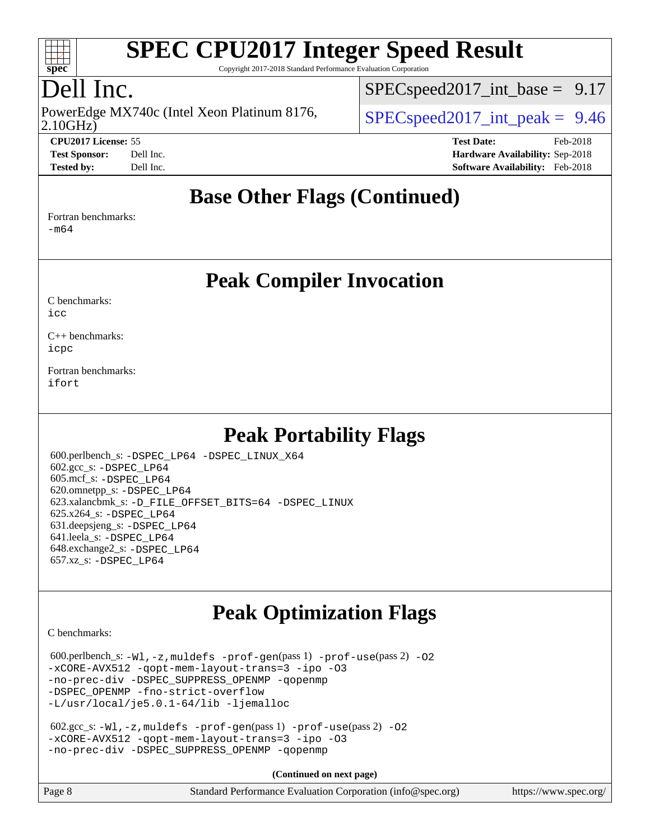

Copyright 2017-2018 Standard Performance Evaluation Corporation

## Dell Inc.

2.10GHz) PowerEdge MX740c (Intel Xeon Platinum 8176,  $\vert$  [SPECspeed2017\\_int\\_peak =](http://www.spec.org/auto/cpu2017/Docs/result-fields.html#SPECspeed2017intpeak) 9.46

[SPECspeed2017\\_int\\_base =](http://www.spec.org/auto/cpu2017/Docs/result-fields.html#SPECspeed2017intbase) 9.17

| <b>Test Sponsor:</b> | Dell I <sub>I</sub> |
|----------------------|---------------------|
| Tostod hy:           | Dall L              |

**[CPU2017 License:](http://www.spec.org/auto/cpu2017/Docs/result-fields.html#CPU2017License)** 55 **[Test Date:](http://www.spec.org/auto/cpu2017/Docs/result-fields.html#TestDate)** Feb-2018 **[Test Sponsor:](http://www.spec.org/auto/cpu2017/Docs/result-fields.html#TestSponsor)** Deliver Sponsor: **[Hardware Availability:](http://www.spec.org/auto/cpu2017/Docs/result-fields.html#HardwareAvailability)** Sep-2018 **[Tested by:](http://www.spec.org/auto/cpu2017/Docs/result-fields.html#Testedby)** Dell Inc. **[Software Availability:](http://www.spec.org/auto/cpu2017/Docs/result-fields.html#SoftwareAvailability)** Feb-2018

#### **[Base Other Flags \(Continued\)](http://www.spec.org/auto/cpu2017/Docs/result-fields.html#BaseOtherFlags)**

[Fortran benchmarks](http://www.spec.org/auto/cpu2017/Docs/result-fields.html#Fortranbenchmarks):

[-m64](http://www.spec.org/cpu2017/results/res2018q4/cpu2017-20181001-09011.flags.html#user_FCbase_intel_intel64_18.0_af43caccfc8ded86e7699f2159af6efc7655f51387b94da716254467f3c01020a5059329e2569e4053f409e7c9202a7efc638f7a6d1ffb3f52dea4a3e31d82ab)

**[Peak Compiler Invocation](http://www.spec.org/auto/cpu2017/Docs/result-fields.html#PeakCompilerInvocation)**

[C benchmarks](http://www.spec.org/auto/cpu2017/Docs/result-fields.html#Cbenchmarks):  $i$ cc

[C++ benchmarks:](http://www.spec.org/auto/cpu2017/Docs/result-fields.html#CXXbenchmarks) [icpc](http://www.spec.org/cpu2017/results/res2018q4/cpu2017-20181001-09011.flags.html#user_CXXpeak_intel_icpc_18.0_c510b6838c7f56d33e37e94d029a35b4a7bccf4766a728ee175e80a419847e808290a9b78be685c44ab727ea267ec2f070ec5dc83b407c0218cded6866a35d07)

[Fortran benchmarks](http://www.spec.org/auto/cpu2017/Docs/result-fields.html#Fortranbenchmarks): [ifort](http://www.spec.org/cpu2017/results/res2018q4/cpu2017-20181001-09011.flags.html#user_FCpeak_intel_ifort_18.0_8111460550e3ca792625aed983ce982f94888b8b503583aa7ba2b8303487b4d8a21a13e7191a45c5fd58ff318f48f9492884d4413fa793fd88dd292cad7027ca)

### **[Peak Portability Flags](http://www.spec.org/auto/cpu2017/Docs/result-fields.html#PeakPortabilityFlags)**

 600.perlbench\_s: [-DSPEC\\_LP64](http://www.spec.org/cpu2017/results/res2018q4/cpu2017-20181001-09011.flags.html#b600.perlbench_s_peakPORTABILITY_DSPEC_LP64) [-DSPEC\\_LINUX\\_X64](http://www.spec.org/cpu2017/results/res2018q4/cpu2017-20181001-09011.flags.html#b600.perlbench_s_peakCPORTABILITY_DSPEC_LINUX_X64) 602.gcc\_s: [-DSPEC\\_LP64](http://www.spec.org/cpu2017/results/res2018q4/cpu2017-20181001-09011.flags.html#suite_peakPORTABILITY602_gcc_s_DSPEC_LP64) 605.mcf\_s: [-DSPEC\\_LP64](http://www.spec.org/cpu2017/results/res2018q4/cpu2017-20181001-09011.flags.html#suite_peakPORTABILITY605_mcf_s_DSPEC_LP64) 620.omnetpp\_s: [-DSPEC\\_LP64](http://www.spec.org/cpu2017/results/res2018q4/cpu2017-20181001-09011.flags.html#suite_peakPORTABILITY620_omnetpp_s_DSPEC_LP64) 623.xalancbmk\_s: [-D\\_FILE\\_OFFSET\\_BITS=64](http://www.spec.org/cpu2017/results/res2018q4/cpu2017-20181001-09011.flags.html#user_peakPORTABILITY623_xalancbmk_s_file_offset_bits_64_5ae949a99b284ddf4e95728d47cb0843d81b2eb0e18bdfe74bbf0f61d0b064f4bda2f10ea5eb90e1dcab0e84dbc592acfc5018bc955c18609f94ddb8d550002c) [-DSPEC\\_LINUX](http://www.spec.org/cpu2017/results/res2018q4/cpu2017-20181001-09011.flags.html#b623.xalancbmk_s_peakCXXPORTABILITY_DSPEC_LINUX) 625.x264\_s: [-DSPEC\\_LP64](http://www.spec.org/cpu2017/results/res2018q4/cpu2017-20181001-09011.flags.html#suite_peakPORTABILITY625_x264_s_DSPEC_LP64) 631.deepsjeng\_s: [-DSPEC\\_LP64](http://www.spec.org/cpu2017/results/res2018q4/cpu2017-20181001-09011.flags.html#suite_peakPORTABILITY631_deepsjeng_s_DSPEC_LP64) 641.leela\_s: [-DSPEC\\_LP64](http://www.spec.org/cpu2017/results/res2018q4/cpu2017-20181001-09011.flags.html#suite_peakPORTABILITY641_leela_s_DSPEC_LP64) 648.exchange2\_s: [-DSPEC\\_LP64](http://www.spec.org/cpu2017/results/res2018q4/cpu2017-20181001-09011.flags.html#suite_peakPORTABILITY648_exchange2_s_DSPEC_LP64) 657.xz\_s: [-DSPEC\\_LP64](http://www.spec.org/cpu2017/results/res2018q4/cpu2017-20181001-09011.flags.html#suite_peakPORTABILITY657_xz_s_DSPEC_LP64)

## **[Peak Optimization Flags](http://www.spec.org/auto/cpu2017/Docs/result-fields.html#PeakOptimizationFlags)**

[C benchmarks](http://www.spec.org/auto/cpu2017/Docs/result-fields.html#Cbenchmarks):

 $600.$ perlbench\_s:  $-W1$ ,  $-z$ , muldefs  $-prof-gen(pass 1)$  $-prof-gen(pass 1)$  [-prof-use](http://www.spec.org/cpu2017/results/res2018q4/cpu2017-20181001-09011.flags.html#user_peakPASS2_CFLAGSPASS2_LDFLAGS600_perlbench_s_prof_use_1a21ceae95f36a2b53c25747139a6c16ca95bd9def2a207b4f0849963b97e94f5260e30a0c64f4bb623698870e679ca08317ef8150905d41bd88c6f78df73f19)(pass 2) -02 [-xCORE-AVX512](http://www.spec.org/cpu2017/results/res2018q4/cpu2017-20181001-09011.flags.html#user_peakPASS2_COPTIMIZE600_perlbench_s_f-xCORE-AVX512) [-qopt-mem-layout-trans=3](http://www.spec.org/cpu2017/results/res2018q4/cpu2017-20181001-09011.flags.html#user_peakPASS1_COPTIMIZEPASS2_COPTIMIZE600_perlbench_s_f-qopt-mem-layout-trans_de80db37974c74b1f0e20d883f0b675c88c3b01e9d123adea9b28688d64333345fb62bc4a798493513fdb68f60282f9a726aa07f478b2f7113531aecce732043) [-ipo](http://www.spec.org/cpu2017/results/res2018q4/cpu2017-20181001-09011.flags.html#user_peakPASS2_COPTIMIZE600_perlbench_s_f-ipo) [-O3](http://www.spec.org/cpu2017/results/res2018q4/cpu2017-20181001-09011.flags.html#user_peakPASS2_COPTIMIZE600_perlbench_s_f-O3) [-no-prec-div](http://www.spec.org/cpu2017/results/res2018q4/cpu2017-20181001-09011.flags.html#user_peakPASS2_COPTIMIZE600_perlbench_s_f-no-prec-div) [-DSPEC\\_SUPPRESS\\_OPENMP](http://www.spec.org/cpu2017/results/res2018q4/cpu2017-20181001-09011.flags.html#suite_peakPASS1_COPTIMIZE600_perlbench_s_DSPEC_SUPPRESS_OPENMP) [-qopenmp](http://www.spec.org/cpu2017/results/res2018q4/cpu2017-20181001-09011.flags.html#user_peakPASS2_COPTIMIZE600_perlbench_s_qopenmp_16be0c44f24f464004c6784a7acb94aca937f053568ce72f94b139a11c7c168634a55f6653758ddd83bcf7b8463e8028bb0b48b77bcddc6b78d5d95bb1df2967) -DSPEC OPENMP [-fno-strict-overflow](http://www.spec.org/cpu2017/results/res2018q4/cpu2017-20181001-09011.flags.html#user_peakEXTRA_OPTIMIZE600_perlbench_s_f-fno-strict-overflow) [-L/usr/local/je5.0.1-64/lib](http://www.spec.org/cpu2017/results/res2018q4/cpu2017-20181001-09011.flags.html#user_peakEXTRA_LIBS600_perlbench_s_jemalloc_link_path64_4b10a636b7bce113509b17f3bd0d6226c5fb2346b9178c2d0232c14f04ab830f976640479e5c33dc2bcbbdad86ecfb6634cbbd4418746f06f368b512fced5394) [-ljemalloc](http://www.spec.org/cpu2017/results/res2018q4/cpu2017-20181001-09011.flags.html#user_peakEXTRA_LIBS600_perlbench_s_jemalloc_link_lib_d1249b907c500fa1c0672f44f562e3d0f79738ae9e3c4a9c376d49f265a04b9c99b167ecedbf6711b3085be911c67ff61f150a17b3472be731631ba4d0471706)

```
 602.gcc_s: -Wl,-z,muldefs -prof-gen(pass 1) -prof-use(pass 2) -O2
-xCORE-AVX512 -qopt-mem-layout-trans=3 -ipo -O3
-no-prec-div -DSPEC_SUPPRESS_OPENMP -qopenmp
```
**(Continued on next page)**

| Page 8 | Standard Performance Evaluation Corporation (info@spec.org) | https://www.spec.org/ |
|--------|-------------------------------------------------------------|-----------------------|
|--------|-------------------------------------------------------------|-----------------------|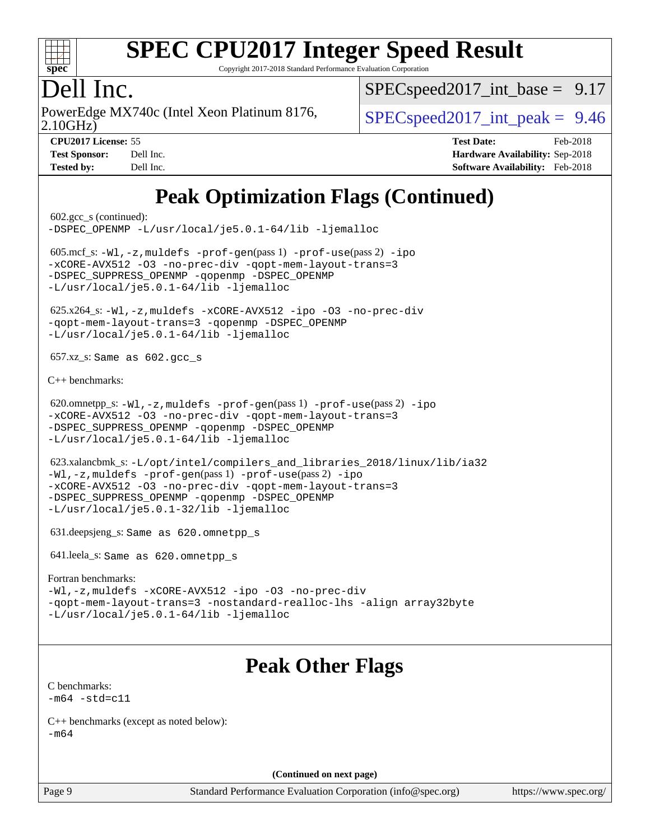

Copyright 2017-2018 Standard Performance Evaluation Corporation

### Dell Inc.

2.10GHz) PowerEdge MX740c (Intel Xeon Platinum 8176,  $\vert$  [SPECspeed2017\\_int\\_peak =](http://www.spec.org/auto/cpu2017/Docs/result-fields.html#SPECspeed2017intpeak) 9.46

[SPECspeed2017\\_int\\_base =](http://www.spec.org/auto/cpu2017/Docs/result-fields.html#SPECspeed2017intbase) 9.17

**[CPU2017 License:](http://www.spec.org/auto/cpu2017/Docs/result-fields.html#CPU2017License)** 55 **[Test Date:](http://www.spec.org/auto/cpu2017/Docs/result-fields.html#TestDate)** Feb-2018 **[Test Sponsor:](http://www.spec.org/auto/cpu2017/Docs/result-fields.html#TestSponsor)** Dell Inc. **[Hardware Availability:](http://www.spec.org/auto/cpu2017/Docs/result-fields.html#HardwareAvailability)** Sep-2018 **[Tested by:](http://www.spec.org/auto/cpu2017/Docs/result-fields.html#Testedby)** Dell Inc. **[Software Availability:](http://www.spec.org/auto/cpu2017/Docs/result-fields.html#SoftwareAvailability)** Feb-2018

### **[Peak Optimization Flags \(Continued\)](http://www.spec.org/auto/cpu2017/Docs/result-fields.html#PeakOptimizationFlags)**

 602.gcc\_s (continued): [-DSPEC\\_OPENMP](http://www.spec.org/cpu2017/results/res2018q4/cpu2017-20181001-09011.flags.html#suite_peakPASS2_COPTIMIZE602_gcc_s_DSPEC_OPENMP) [-L/usr/local/je5.0.1-64/lib](http://www.spec.org/cpu2017/results/res2018q4/cpu2017-20181001-09011.flags.html#user_peakEXTRA_LIBS602_gcc_s_jemalloc_link_path64_4b10a636b7bce113509b17f3bd0d6226c5fb2346b9178c2d0232c14f04ab830f976640479e5c33dc2bcbbdad86ecfb6634cbbd4418746f06f368b512fced5394) [-ljemalloc](http://www.spec.org/cpu2017/results/res2018q4/cpu2017-20181001-09011.flags.html#user_peakEXTRA_LIBS602_gcc_s_jemalloc_link_lib_d1249b907c500fa1c0672f44f562e3d0f79738ae9e3c4a9c376d49f265a04b9c99b167ecedbf6711b3085be911c67ff61f150a17b3472be731631ba4d0471706) 605.mcf\_s: [-Wl,-z,muldefs](http://www.spec.org/cpu2017/results/res2018q4/cpu2017-20181001-09011.flags.html#user_peakEXTRA_LDFLAGS605_mcf_s_link_force_multiple1_b4cbdb97b34bdee9ceefcfe54f4c8ea74255f0b02a4b23e853cdb0e18eb4525ac79b5a88067c842dd0ee6996c24547a27a4b99331201badda8798ef8a743f577) [-prof-gen](http://www.spec.org/cpu2017/results/res2018q4/cpu2017-20181001-09011.flags.html#user_peakPASS1_CFLAGSPASS1_LDFLAGS605_mcf_s_prof_gen_5aa4926d6013ddb2a31985c654b3eb18169fc0c6952a63635c234f711e6e63dd76e94ad52365559451ec499a2cdb89e4dc58ba4c67ef54ca681ffbe1461d6b36)(pass 1) [-prof-use](http://www.spec.org/cpu2017/results/res2018q4/cpu2017-20181001-09011.flags.html#user_peakPASS2_CFLAGSPASS2_LDFLAGS605_mcf_s_prof_use_1a21ceae95f36a2b53c25747139a6c16ca95bd9def2a207b4f0849963b97e94f5260e30a0c64f4bb623698870e679ca08317ef8150905d41bd88c6f78df73f19)(pass 2) [-ipo](http://www.spec.org/cpu2017/results/res2018q4/cpu2017-20181001-09011.flags.html#user_peakPASS1_COPTIMIZEPASS2_COPTIMIZE605_mcf_s_f-ipo) [-xCORE-AVX512](http://www.spec.org/cpu2017/results/res2018q4/cpu2017-20181001-09011.flags.html#user_peakPASS2_COPTIMIZE605_mcf_s_f-xCORE-AVX512) [-O3](http://www.spec.org/cpu2017/results/res2018q4/cpu2017-20181001-09011.flags.html#user_peakPASS1_COPTIMIZEPASS2_COPTIMIZE605_mcf_s_f-O3) [-no-prec-div](http://www.spec.org/cpu2017/results/res2018q4/cpu2017-20181001-09011.flags.html#user_peakPASS1_COPTIMIZEPASS2_COPTIMIZE605_mcf_s_f-no-prec-div) [-qopt-mem-layout-trans=3](http://www.spec.org/cpu2017/results/res2018q4/cpu2017-20181001-09011.flags.html#user_peakPASS1_COPTIMIZEPASS2_COPTIMIZE605_mcf_s_f-qopt-mem-layout-trans_de80db37974c74b1f0e20d883f0b675c88c3b01e9d123adea9b28688d64333345fb62bc4a798493513fdb68f60282f9a726aa07f478b2f7113531aecce732043) -DSPEC SUPPRESS OPENMP [-qopenmp](http://www.spec.org/cpu2017/results/res2018q4/cpu2017-20181001-09011.flags.html#user_peakPASS2_COPTIMIZE605_mcf_s_qopenmp_16be0c44f24f464004c6784a7acb94aca937f053568ce72f94b139a11c7c168634a55f6653758ddd83bcf7b8463e8028bb0b48b77bcddc6b78d5d95bb1df2967) -DSPEC OPENMP [-L/usr/local/je5.0.1-64/lib](http://www.spec.org/cpu2017/results/res2018q4/cpu2017-20181001-09011.flags.html#user_peakEXTRA_LIBS605_mcf_s_jemalloc_link_path64_4b10a636b7bce113509b17f3bd0d6226c5fb2346b9178c2d0232c14f04ab830f976640479e5c33dc2bcbbdad86ecfb6634cbbd4418746f06f368b512fced5394) [-ljemalloc](http://www.spec.org/cpu2017/results/res2018q4/cpu2017-20181001-09011.flags.html#user_peakEXTRA_LIBS605_mcf_s_jemalloc_link_lib_d1249b907c500fa1c0672f44f562e3d0f79738ae9e3c4a9c376d49f265a04b9c99b167ecedbf6711b3085be911c67ff61f150a17b3472be731631ba4d0471706) 625.x264\_s: [-Wl,-z,muldefs](http://www.spec.org/cpu2017/results/res2018q4/cpu2017-20181001-09011.flags.html#user_peakEXTRA_LDFLAGS625_x264_s_link_force_multiple1_b4cbdb97b34bdee9ceefcfe54f4c8ea74255f0b02a4b23e853cdb0e18eb4525ac79b5a88067c842dd0ee6996c24547a27a4b99331201badda8798ef8a743f577) [-xCORE-AVX512](http://www.spec.org/cpu2017/results/res2018q4/cpu2017-20181001-09011.flags.html#user_peakCOPTIMIZE625_x264_s_f-xCORE-AVX512) [-ipo](http://www.spec.org/cpu2017/results/res2018q4/cpu2017-20181001-09011.flags.html#user_peakCOPTIMIZE625_x264_s_f-ipo) [-O3](http://www.spec.org/cpu2017/results/res2018q4/cpu2017-20181001-09011.flags.html#user_peakCOPTIMIZE625_x264_s_f-O3) [-no-prec-div](http://www.spec.org/cpu2017/results/res2018q4/cpu2017-20181001-09011.flags.html#user_peakCOPTIMIZE625_x264_s_f-no-prec-div) [-qopt-mem-layout-trans=3](http://www.spec.org/cpu2017/results/res2018q4/cpu2017-20181001-09011.flags.html#user_peakCOPTIMIZE625_x264_s_f-qopt-mem-layout-trans_de80db37974c74b1f0e20d883f0b675c88c3b01e9d123adea9b28688d64333345fb62bc4a798493513fdb68f60282f9a726aa07f478b2f7113531aecce732043) [-qopenmp](http://www.spec.org/cpu2017/results/res2018q4/cpu2017-20181001-09011.flags.html#user_peakCOPTIMIZE625_x264_s_qopenmp_16be0c44f24f464004c6784a7acb94aca937f053568ce72f94b139a11c7c168634a55f6653758ddd83bcf7b8463e8028bb0b48b77bcddc6b78d5d95bb1df2967) [-DSPEC\\_OPENMP](http://www.spec.org/cpu2017/results/res2018q4/cpu2017-20181001-09011.flags.html#suite_peakCOPTIMIZE625_x264_s_DSPEC_OPENMP) [-L/usr/local/je5.0.1-64/lib](http://www.spec.org/cpu2017/results/res2018q4/cpu2017-20181001-09011.flags.html#user_peakEXTRA_LIBS625_x264_s_jemalloc_link_path64_4b10a636b7bce113509b17f3bd0d6226c5fb2346b9178c2d0232c14f04ab830f976640479e5c33dc2bcbbdad86ecfb6634cbbd4418746f06f368b512fced5394) [-ljemalloc](http://www.spec.org/cpu2017/results/res2018q4/cpu2017-20181001-09011.flags.html#user_peakEXTRA_LIBS625_x264_s_jemalloc_link_lib_d1249b907c500fa1c0672f44f562e3d0f79738ae9e3c4a9c376d49f265a04b9c99b167ecedbf6711b3085be911c67ff61f150a17b3472be731631ba4d0471706) 657.xz\_s: Same as 602.gcc\_s [C++ benchmarks:](http://www.spec.org/auto/cpu2017/Docs/result-fields.html#CXXbenchmarks) 620.omnetpp\_s: [-Wl,-z,muldefs](http://www.spec.org/cpu2017/results/res2018q4/cpu2017-20181001-09011.flags.html#user_peakEXTRA_LDFLAGS620_omnetpp_s_link_force_multiple1_b4cbdb97b34bdee9ceefcfe54f4c8ea74255f0b02a4b23e853cdb0e18eb4525ac79b5a88067c842dd0ee6996c24547a27a4b99331201badda8798ef8a743f577) [-prof-gen](http://www.spec.org/cpu2017/results/res2018q4/cpu2017-20181001-09011.flags.html#user_peakPASS1_CXXFLAGSPASS1_LDFLAGS620_omnetpp_s_prof_gen_5aa4926d6013ddb2a31985c654b3eb18169fc0c6952a63635c234f711e6e63dd76e94ad52365559451ec499a2cdb89e4dc58ba4c67ef54ca681ffbe1461d6b36)(pass 1) [-prof-use](http://www.spec.org/cpu2017/results/res2018q4/cpu2017-20181001-09011.flags.html#user_peakPASS2_CXXFLAGSPASS2_LDFLAGS620_omnetpp_s_prof_use_1a21ceae95f36a2b53c25747139a6c16ca95bd9def2a207b4f0849963b97e94f5260e30a0c64f4bb623698870e679ca08317ef8150905d41bd88c6f78df73f19)(pass 2) [-ipo](http://www.spec.org/cpu2017/results/res2018q4/cpu2017-20181001-09011.flags.html#user_peakPASS1_CXXOPTIMIZEPASS2_CXXOPTIMIZE620_omnetpp_s_f-ipo) [-xCORE-AVX512](http://www.spec.org/cpu2017/results/res2018q4/cpu2017-20181001-09011.flags.html#user_peakPASS2_CXXOPTIMIZE620_omnetpp_s_f-xCORE-AVX512) [-O3](http://www.spec.org/cpu2017/results/res2018q4/cpu2017-20181001-09011.flags.html#user_peakPASS1_CXXOPTIMIZEPASS2_CXXOPTIMIZE620_omnetpp_s_f-O3) [-no-prec-div](http://www.spec.org/cpu2017/results/res2018q4/cpu2017-20181001-09011.flags.html#user_peakPASS1_CXXOPTIMIZEPASS2_CXXOPTIMIZE620_omnetpp_s_f-no-prec-div) [-qopt-mem-layout-trans=3](http://www.spec.org/cpu2017/results/res2018q4/cpu2017-20181001-09011.flags.html#user_peakPASS1_CXXOPTIMIZEPASS2_CXXOPTIMIZE620_omnetpp_s_f-qopt-mem-layout-trans_de80db37974c74b1f0e20d883f0b675c88c3b01e9d123adea9b28688d64333345fb62bc4a798493513fdb68f60282f9a726aa07f478b2f7113531aecce732043) -DSPEC SUPPRESS OPENMP [-qopenmp](http://www.spec.org/cpu2017/results/res2018q4/cpu2017-20181001-09011.flags.html#user_peakPASS2_CXXOPTIMIZE620_omnetpp_s_qopenmp_16be0c44f24f464004c6784a7acb94aca937f053568ce72f94b139a11c7c168634a55f6653758ddd83bcf7b8463e8028bb0b48b77bcddc6b78d5d95bb1df2967) -DSPEC OPENMP [-L/usr/local/je5.0.1-64/lib](http://www.spec.org/cpu2017/results/res2018q4/cpu2017-20181001-09011.flags.html#user_peakEXTRA_LIBS620_omnetpp_s_jemalloc_link_path64_4b10a636b7bce113509b17f3bd0d6226c5fb2346b9178c2d0232c14f04ab830f976640479e5c33dc2bcbbdad86ecfb6634cbbd4418746f06f368b512fced5394) [-ljemalloc](http://www.spec.org/cpu2017/results/res2018q4/cpu2017-20181001-09011.flags.html#user_peakEXTRA_LIBS620_omnetpp_s_jemalloc_link_lib_d1249b907c500fa1c0672f44f562e3d0f79738ae9e3c4a9c376d49f265a04b9c99b167ecedbf6711b3085be911c67ff61f150a17b3472be731631ba4d0471706) 623.xalancbmk\_s: [-L/opt/intel/compilers\\_and\\_libraries\\_2018/linux/lib/ia32](http://www.spec.org/cpu2017/results/res2018q4/cpu2017-20181001-09011.flags.html#user_peakCXXLD623_xalancbmk_s_Enable-32bit-runtime_af243bdb1d79e4c7a4f720bf8275e627de2ecd461de63307bc14cef0633fde3cd7bb2facb32dcc8be9566045fb55d40ce2b72b725f73827aa7833441b71b9343) [-Wl,-z,muldefs](http://www.spec.org/cpu2017/results/res2018q4/cpu2017-20181001-09011.flags.html#user_peakEXTRA_LDFLAGS623_xalancbmk_s_link_force_multiple1_b4cbdb97b34bdee9ceefcfe54f4c8ea74255f0b02a4b23e853cdb0e18eb4525ac79b5a88067c842dd0ee6996c24547a27a4b99331201badda8798ef8a743f577) [-prof-gen](http://www.spec.org/cpu2017/results/res2018q4/cpu2017-20181001-09011.flags.html#user_peakPASS1_CXXFLAGSPASS1_LDFLAGS623_xalancbmk_s_prof_gen_5aa4926d6013ddb2a31985c654b3eb18169fc0c6952a63635c234f711e6e63dd76e94ad52365559451ec499a2cdb89e4dc58ba4c67ef54ca681ffbe1461d6b36)(pass 1) [-prof-use](http://www.spec.org/cpu2017/results/res2018q4/cpu2017-20181001-09011.flags.html#user_peakPASS2_CXXFLAGSPASS2_LDFLAGS623_xalancbmk_s_prof_use_1a21ceae95f36a2b53c25747139a6c16ca95bd9def2a207b4f0849963b97e94f5260e30a0c64f4bb623698870e679ca08317ef8150905d41bd88c6f78df73f19)(pass 2) [-ipo](http://www.spec.org/cpu2017/results/res2018q4/cpu2017-20181001-09011.flags.html#user_peakPASS1_CXXOPTIMIZEPASS2_CXXOPTIMIZE623_xalancbmk_s_f-ipo) [-xCORE-AVX512](http://www.spec.org/cpu2017/results/res2018q4/cpu2017-20181001-09011.flags.html#user_peakPASS2_CXXOPTIMIZE623_xalancbmk_s_f-xCORE-AVX512) [-O3](http://www.spec.org/cpu2017/results/res2018q4/cpu2017-20181001-09011.flags.html#user_peakPASS1_CXXOPTIMIZEPASS2_CXXOPTIMIZE623_xalancbmk_s_f-O3) [-no-prec-div](http://www.spec.org/cpu2017/results/res2018q4/cpu2017-20181001-09011.flags.html#user_peakPASS1_CXXOPTIMIZEPASS2_CXXOPTIMIZE623_xalancbmk_s_f-no-prec-div) [-qopt-mem-layout-trans=3](http://www.spec.org/cpu2017/results/res2018q4/cpu2017-20181001-09011.flags.html#user_peakPASS1_CXXOPTIMIZEPASS2_CXXOPTIMIZE623_xalancbmk_s_f-qopt-mem-layout-trans_de80db37974c74b1f0e20d883f0b675c88c3b01e9d123adea9b28688d64333345fb62bc4a798493513fdb68f60282f9a726aa07f478b2f7113531aecce732043) [-DSPEC\\_SUPPRESS\\_OPENMP](http://www.spec.org/cpu2017/results/res2018q4/cpu2017-20181001-09011.flags.html#suite_peakPASS1_CXXOPTIMIZE623_xalancbmk_s_DSPEC_SUPPRESS_OPENMP) [-qopenmp](http://www.spec.org/cpu2017/results/res2018q4/cpu2017-20181001-09011.flags.html#user_peakPASS2_CXXOPTIMIZE623_xalancbmk_s_qopenmp_16be0c44f24f464004c6784a7acb94aca937f053568ce72f94b139a11c7c168634a55f6653758ddd83bcf7b8463e8028bb0b48b77bcddc6b78d5d95bb1df2967) [-DSPEC\\_OPENMP](http://www.spec.org/cpu2017/results/res2018q4/cpu2017-20181001-09011.flags.html#suite_peakPASS2_CXXOPTIMIZE623_xalancbmk_s_DSPEC_OPENMP) [-L/usr/local/je5.0.1-32/lib](http://www.spec.org/cpu2017/results/res2018q4/cpu2017-20181001-09011.flags.html#user_peakEXTRA_LIBS623_xalancbmk_s_jemalloc_link_path32_e29f22e8e6c17053bbc6a0971f5a9c01a601a06bb1a59df2084b77a2fe0a2995b64fd4256feaeea39eeba3aae142e96e2b2b0a28974019c0c0c88139a84f900a) [-ljemalloc](http://www.spec.org/cpu2017/results/res2018q4/cpu2017-20181001-09011.flags.html#user_peakEXTRA_LIBS623_xalancbmk_s_jemalloc_link_lib_d1249b907c500fa1c0672f44f562e3d0f79738ae9e3c4a9c376d49f265a04b9c99b167ecedbf6711b3085be911c67ff61f150a17b3472be731631ba4d0471706) 631.deepsjeng\_s: Same as 620.omnetpp\_s 641.leela\_s: Same as 620.omnetpp\_s [Fortran benchmarks](http://www.spec.org/auto/cpu2017/Docs/result-fields.html#Fortranbenchmarks): [-Wl,-z,muldefs](http://www.spec.org/cpu2017/results/res2018q4/cpu2017-20181001-09011.flags.html#user_FCpeak_link_force_multiple1_b4cbdb97b34bdee9ceefcfe54f4c8ea74255f0b02a4b23e853cdb0e18eb4525ac79b5a88067c842dd0ee6996c24547a27a4b99331201badda8798ef8a743f577) [-xCORE-AVX512](http://www.spec.org/cpu2017/results/res2018q4/cpu2017-20181001-09011.flags.html#user_FCpeak_f-xCORE-AVX512) [-ipo](http://www.spec.org/cpu2017/results/res2018q4/cpu2017-20181001-09011.flags.html#user_FCpeak_f-ipo) [-O3](http://www.spec.org/cpu2017/results/res2018q4/cpu2017-20181001-09011.flags.html#user_FCpeak_f-O3) [-no-prec-div](http://www.spec.org/cpu2017/results/res2018q4/cpu2017-20181001-09011.flags.html#user_FCpeak_f-no-prec-div) [-qopt-mem-layout-trans=3](http://www.spec.org/cpu2017/results/res2018q4/cpu2017-20181001-09011.flags.html#user_FCpeak_f-qopt-mem-layout-trans_de80db37974c74b1f0e20d883f0b675c88c3b01e9d123adea9b28688d64333345fb62bc4a798493513fdb68f60282f9a726aa07f478b2f7113531aecce732043) [-nostandard-realloc-lhs](http://www.spec.org/cpu2017/results/res2018q4/cpu2017-20181001-09011.flags.html#user_FCpeak_f_2003_std_realloc_82b4557e90729c0f113870c07e44d33d6f5a304b4f63d4c15d2d0f1fab99f5daaed73bdb9275d9ae411527f28b936061aa8b9c8f2d63842963b95c9dd6426b8a) [-align array32byte](http://www.spec.org/cpu2017/results/res2018q4/cpu2017-20181001-09011.flags.html#user_FCpeak_align_array32byte_b982fe038af199962ba9a80c053b8342c548c85b40b8e86eb3cc33dee0d7986a4af373ac2d51c3f7cf710a18d62fdce2948f201cd044323541f22fc0fffc51b6) [-L/usr/local/je5.0.1-64/lib](http://www.spec.org/cpu2017/results/res2018q4/cpu2017-20181001-09011.flags.html#user_FCpeak_jemalloc_link_path64_4b10a636b7bce113509b17f3bd0d6226c5fb2346b9178c2d0232c14f04ab830f976640479e5c33dc2bcbbdad86ecfb6634cbbd4418746f06f368b512fced5394) [-ljemalloc](http://www.spec.org/cpu2017/results/res2018q4/cpu2017-20181001-09011.flags.html#user_FCpeak_jemalloc_link_lib_d1249b907c500fa1c0672f44f562e3d0f79738ae9e3c4a9c376d49f265a04b9c99b167ecedbf6711b3085be911c67ff61f150a17b3472be731631ba4d0471706) **[Peak Other Flags](http://www.spec.org/auto/cpu2017/Docs/result-fields.html#PeakOtherFlags)** [C benchmarks](http://www.spec.org/auto/cpu2017/Docs/result-fields.html#Cbenchmarks):  $-m64 - std= c11$  $-m64 - std= c11$ [C++ benchmarks \(except as noted below\):](http://www.spec.org/auto/cpu2017/Docs/result-fields.html#CXXbenchmarksexceptasnotedbelow) [-m64](http://www.spec.org/cpu2017/results/res2018q4/cpu2017-20181001-09011.flags.html#user_CXXpeak_intel_intel64_18.0_af43caccfc8ded86e7699f2159af6efc7655f51387b94da716254467f3c01020a5059329e2569e4053f409e7c9202a7efc638f7a6d1ffb3f52dea4a3e31d82ab) **(Continued on next page)**

Page 9 Standard Performance Evaluation Corporation [\(info@spec.org\)](mailto:info@spec.org) <https://www.spec.org/>